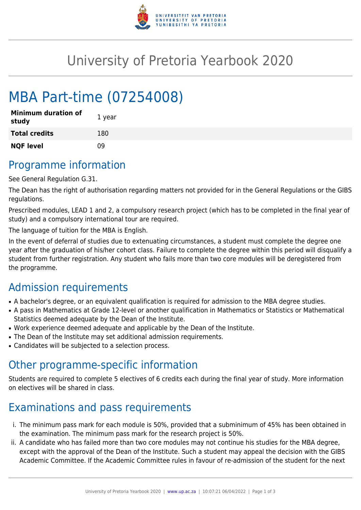

# University of Pretoria Yearbook 2020

# MBA Part-time (07254008)

| <b>Minimum duration of</b><br>study | 1 year |
|-------------------------------------|--------|
| <b>Total credits</b>                | 180    |
| <b>NQF level</b>                    | n۹     |

## Programme information

See General Regulation G.31.

The Dean has the right of authorisation regarding matters not provided for in the General Regulations or the GIBS regulations.

Prescribed modules, LEAD 1 and 2, a compulsory research project (which has to be completed in the final year of study) and a compulsory international tour are required.

The language of tuition for the MBA is English.

In the event of deferral of studies due to extenuating circumstances, a student must complete the degree one year after the graduation of his/her cohort class. Failure to complete the degree within this period will disqualify a student from further registration. Any student who fails more than two core modules will be deregistered from the programme.

# Admission requirements

- A bachelor's degree, or an equivalent qualification is required for admission to the MBA degree studies.
- A pass in Mathematics at Grade 12-level or another qualification in Mathematics or Statistics or Mathematical Statistics deemed adequate by the Dean of the Institute.
- Work experience deemed adequate and applicable by the Dean of the Institute.
- The Dean of the Institute may set additional admission requirements.
- Candidates will be subjected to a selection process.

### Other programme-specific information

Students are required to complete 5 electives of 6 credits each during the final year of study. More information on electives will be shared in class.

## Examinations and pass requirements

- i. The minimum pass mark for each module is 50%, provided that a subminimum of 45% has been obtained in the examination. The minimum pass mark for the research project is 50%.
- ii. A candidate who has failed more than two core modules may not continue his studies for the MBA degree, except with the approval of the Dean of the Institute. Such a student may appeal the decision with the GIBS Academic Committee. If the Academic Committee rules in favour of re-admission of the student for the next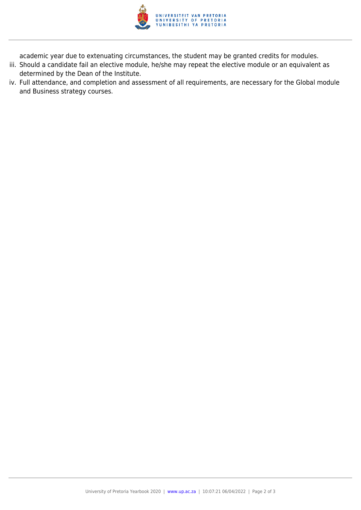

academic year due to extenuating circumstances, the student may be granted credits for modules.

- iii. Should a candidate fail an elective module, he/she may repeat the elective module or an equivalent as determined by the Dean of the Institute.
- iv. Full attendance, and completion and assessment of all requirements, are necessary for the Global module and Business strategy courses.